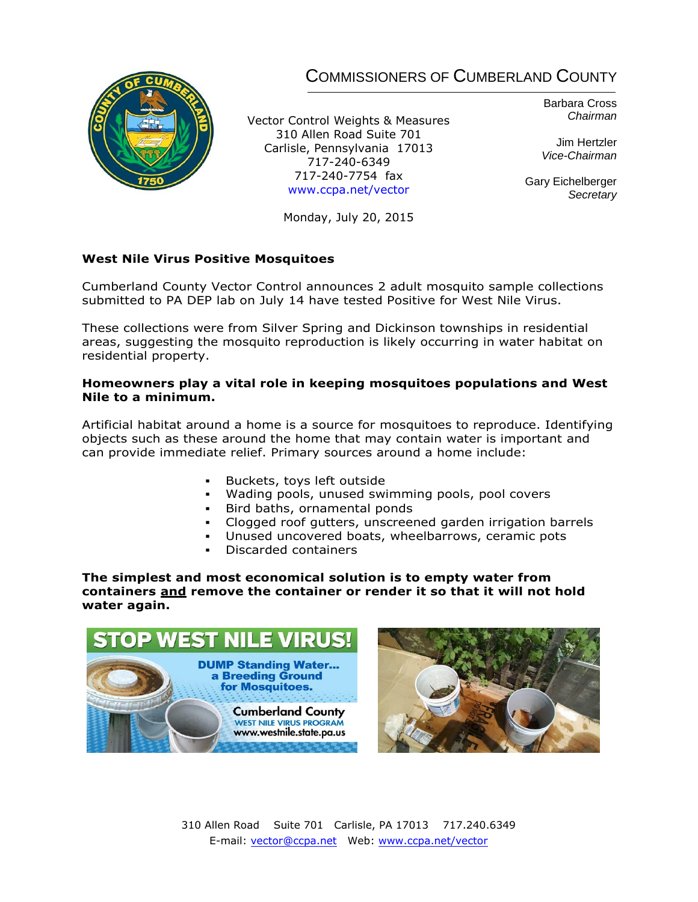## COMMISSIONERS OF CUMBERLAND COUNTY



Vector Control Weights & Measures 310 Allen Road Suite 701 Carlisle, Pennsylvania 17013 717-240-6349 717-240-7754 fax [www.ccpa.net/vector](http://www.ccpa.net/vector)

Barbara Cross *Chairman*

Jim Hertzler *Vice-Chairman*

Gary Eichelberger *Secretary*

Monday, July 20, 2015

## **West Nile Virus Positive Mosquitoes**

Cumberland County Vector Control announces 2 adult mosquito sample collections submitted to PA DEP lab on July 14 have tested Positive for West Nile Virus.

These collections were from Silver Spring and Dickinson townships in residential areas, suggesting the mosquito reproduction is likely occurring in water habitat on residential property.

## **Homeowners play a vital role in keeping mosquitoes populations and West Nile to a minimum.**

Artificial habitat around a home is a source for mosquitoes to reproduce. Identifying objects such as these around the home that may contain water is important and can provide immediate relief. Primary sources around a home include:

- Buckets, toys left outside
- Wading pools, unused swimming pools, pool covers
- Bird baths, ornamental ponds
- Clogged roof gutters, unscreened garden irrigation barrels
- Unused uncovered boats, wheelbarrows, ceramic pots
- Discarded containers

**The simplest and most economical solution is to empty water from containers and remove the container or render it so that it will not hold water again.** 





310 Allen Road Suite 701 Carlisle, PA 17013 717.240.6349 E-mail: [vector@ccpa.net](mailto:vector@ccpa.net) Web: [www.ccpa.net/vector](http://www.ccpa.net/vector)